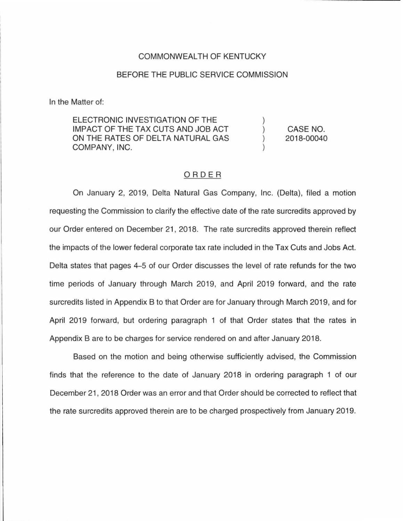## COMMONWEALTH OF KENTUCKY

## BEFORE THE PUBLIC SERVICE COMMISSION

In the Matter of:

ELECTRONIC INVESTIGATION OF THE IMPACT OF THE TAX CUTS AND JOB ACT ON THE RATES OF DELTA NATURAL GAS COMPANY, INC.

CASE NO. 2018-00040

 $\lambda$ 

## ORDER

On January 2, 2019, Delta Natural Gas Company, Inc. (Delta), filed a motion requesting the Commission to clarify the effective date of the rate surcredits approved by our Order entered on December 21, 2018. The rate surcredits approved therein reflect the impacts of the lower federal corporate tax rate included in the Tax Cuts and Jobs Act. Delta states that pages 4-5 of our Order discusses the level of rate refunds for the two time periods of January through March 2019, and April 2019 forward, and the rate surcredits listed in Appendix B to that Order are for January through March 2019, and for April 2019 forward, but ordering paragraph 1 of that Order states that the rates in Appendix B are to be charges for service rendered on and after January 2018.

Based on the motion and being otherwise sufficiently advised, the Commission finds that the reference to the date of January 2018 in ordering paragraph 1 of our December 21 , 2018 Order was an error and that Order should be corrected to reflect that the rate surcredits approved therein are to be charged prospectively from January 2019.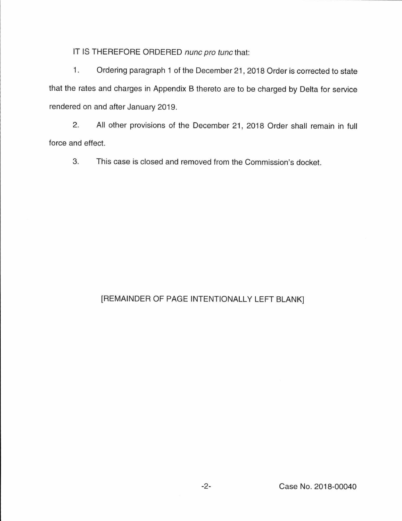IT IS THEREFORE ORDERED nunc pro tunc that:

1. Ordering paragraph 1 of the December 21 , 2018 Order is corrected to state that the rates and charges in Appendix B thereto are to be charged by Delta for service rendered on and after January 2019.

2. All other provisions of the December 21, 2018 Order shall remain in full force and effect.

3. This case is closed and removed from the Commission's docket.

## [REMAINDER OF PAGE INTENTIONALLY LEFT BLANK]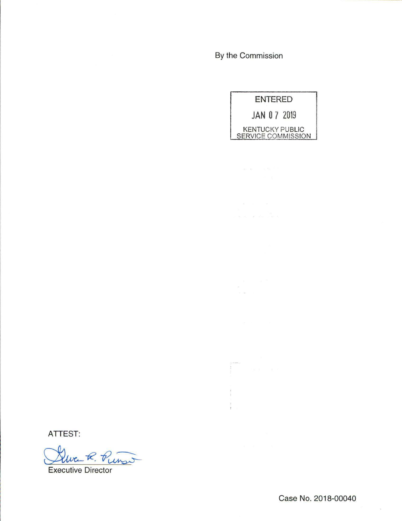By the Commission



ੀ<br>ਹਵਾਲੇ ਵੱਖੋਸ ਨਾਲ ਨ

 $\begin{array}{ccc} & & & & & \\ & & & & & \\ \hline g & & & & \\ g & & & & \\ g & & & & \\ g & & & & \\ g & & & & \\ \end{array}$ 

ATTEST:

 $Wc_+K$ .  $V_{U\mu_{2}}$ 

Executive Director

Case No. 2018-00040

 $\bar{\rm R}$